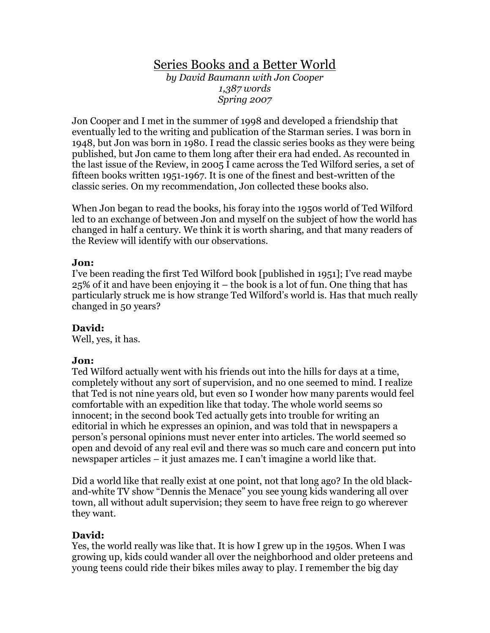# Series Books and a Better World

by David Baumann with Jon Cooper 1,387 words Spring 2007

Jon Cooper and I met in the summer of 1998 and developed a friendship that eventually led to the writing and publication of the Starman series. I was born in 1948, but Jon was born in 1980. I read the classic series books as they were being published, but Jon came to them long after their era had ended. As recounted in the last issue of the Review, in 2005 I came across the Ted Wilford series, a set of fifteen books written 1951-1967. It is one of the finest and best-written of the classic series. On my recommendation, Jon collected these books also.

When Jon began to read the books, his foray into the 1950s world of Ted Wilford led to an exchange of between Jon and myself on the subject of how the world has changed in half a century. We think it is worth sharing, and that many readers of the Review will identify with our observations.

## Jon:

I've been reading the first Ted Wilford book [published in 1951]; I've read maybe 25% of it and have been enjoying it – the book is a lot of fun. One thing that has particularly struck me is how strange Ted Wilford's world is. Has that much really changed in 50 years?

## David:

Well, yes, it has.

## Jon:

Ted Wilford actually went with his friends out into the hills for days at a time, completely without any sort of supervision, and no one seemed to mind. I realize that Ted is not nine years old, but even so I wonder how many parents would feel comfortable with an expedition like that today. The whole world seems so innocent; in the second book Ted actually gets into trouble for writing an editorial in which he expresses an opinion, and was told that in newspapers a person's personal opinions must never enter into articles. The world seemed so open and devoid of any real evil and there was so much care and concern put into newspaper articles – it just amazes me. I can't imagine a world like that.

Did a world like that really exist at one point, not that long ago? In the old blackand-white TV show "Dennis the Menace" you see young kids wandering all over town, all without adult supervision; they seem to have free reign to go wherever they want.

## David:

Yes, the world really was like that. It is how I grew up in the 1950s. When I was growing up, kids could wander all over the neighborhood and older preteens and young teens could ride their bikes miles away to play. I remember the big day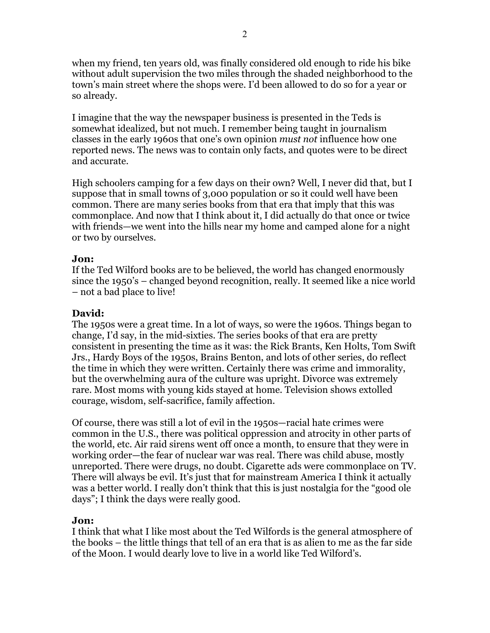when my friend, ten years old, was finally considered old enough to ride his bike without adult supervision the two miles through the shaded neighborhood to the town's main street where the shops were. I'd been allowed to do so for a year or so already.

I imagine that the way the newspaper business is presented in the Teds is somewhat idealized, but not much. I remember being taught in journalism classes in the early 1960s that one's own opinion must not influence how one reported news. The news was to contain only facts, and quotes were to be direct and accurate.

High schoolers camping for a few days on their own? Well, I never did that, but I suppose that in small towns of 3,000 population or so it could well have been common. There are many series books from that era that imply that this was commonplace. And now that I think about it, I did actually do that once or twice with friends—we went into the hills near my home and camped alone for a night or two by ourselves.

#### Jon:

If the Ted Wilford books are to be believed, the world has changed enormously since the 1950's – changed beyond recognition, really. It seemed like a nice world – not a bad place to live!

## David:

The 1950s were a great time. In a lot of ways, so were the 1960s. Things began to change, I'd say, in the mid-sixties. The series books of that era are pretty consistent in presenting the time as it was: the Rick Brants, Ken Holts, Tom Swift Jrs., Hardy Boys of the 1950s, Brains Benton, and lots of other series, do reflect the time in which they were written. Certainly there was crime and immorality, but the overwhelming aura of the culture was upright. Divorce was extremely rare. Most moms with young kids stayed at home. Television shows extolled courage, wisdom, self-sacrifice, family affection.

Of course, there was still a lot of evil in the 1950s—racial hate crimes were common in the U.S., there was political oppression and atrocity in other parts of the world, etc. Air raid sirens went off once a month, to ensure that they were in working order—the fear of nuclear war was real. There was child abuse, mostly unreported. There were drugs, no doubt. Cigarette ads were commonplace on TV. There will always be evil. It's just that for mainstream America I think it actually was a better world. I really don't think that this is just nostalgia for the "good ole days"; I think the days were really good.

#### Jon:

I think that what I like most about the Ted Wilfords is the general atmosphere of the books – the little things that tell of an era that is as alien to me as the far side of the Moon. I would dearly love to live in a world like Ted Wilford's.